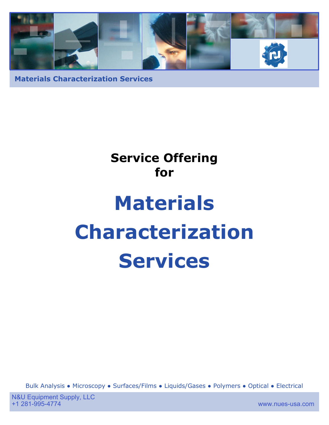

# **Service Offering for Materials Characterization Services**

Bulk Analysis ● Microscopy ● Surfaces/Films ● Liquids/Gases ● Polymers ● Optical ● Electrical

www.nues-usa.com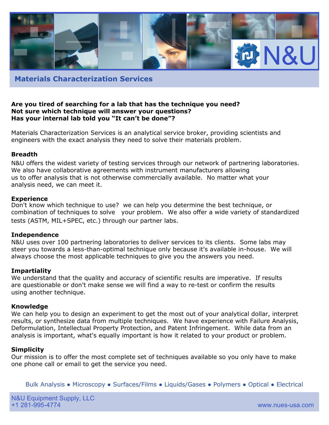

#### **Are you tired of searching for a lab that has the technique you need? Not sure which technique will answer your questions? Has your internal lab told you "It can't be done"?**

Materials Characterization Services is an analytical service broker, providing scientists and engineers with the exact analysis they need to solve their materials problem.

#### **Breadth**

N&U offers the widest variety of testing services through our network of partnering laboratories. We also have collaborative agreements with instrument manufacturers allowing us to offer analysis that is not otherwise commercially available. No matter what your analysis need, we can meet it.

#### **Experience**

Don't know which technique to use? we can help you determine the best technique, or combination of techniques to solve your problem. We also offer a wide variety of standardized tests (ASTM, MIL+SPEC, etc.) through our partner labs.

#### **Independence**

N&U uses over 100 partnering laboratories to deliver services to its clients. Some labs may steer you towards a less-than-optimal technique only because it's available in-house. We will always choose the most applicable techniques to give you the answers you need.

#### **Impartiality**

We understand that the quality and accuracy of scientific results are imperative. If results are questionable or don't make sense we will find a way to re-test or confirm the results using another technique.

#### **Knowledge**

We can help you to design an experiment to get the most out of your analytical dollar, interpret results, or synthesize data from multiple techniques. We have experience with Failure Analysis, Deformulation, Intellectual Property Protection, and Patent Infringement. While data from an analysis is important, what's equally important is how it related to your product or problem.

#### **Simplicity**

Our mission is to offer the most complete set of techniques available so you only have to make one phone call or email to get the service you need.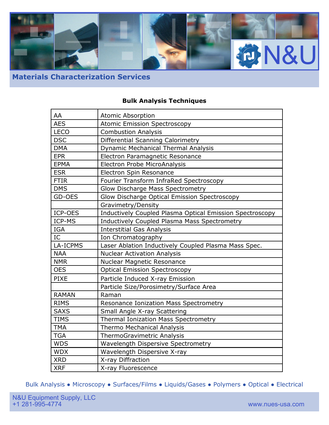

## **Bulk Analysis Techniques**

| AA           | Atomic Absorption                                               |
|--------------|-----------------------------------------------------------------|
| <b>AES</b>   | <b>Atomic Emission Spectroscopy</b>                             |
| <b>LECO</b>  | <b>Combustion Analysis</b>                                      |
| <b>DSC</b>   | Differential Scanning Calorimetry                               |
| <b>DMA</b>   | Dynamic Mechanical Thermal Analysis                             |
| <b>EPR</b>   | Electron Paramagnetic Resonance                                 |
| <b>EPMA</b>  | Electron Probe MicroAnalysis                                    |
| <b>ESR</b>   | Electron Spin Resonance                                         |
| <b>FTIR</b>  | Fourier Transform InfraRed Spectroscopy                         |
| <b>DMS</b>   | Glow Discharge Mass Spectrometry                                |
| GD-OES       | Glow Discharge Optical Emission Spectroscopy                    |
|              | Gravimetry/Density                                              |
| ICP-OES      | <b>Inductively Coupled Plasma Optical Emission Spectroscopy</b> |
| ICP-MS       | Inductively Coupled Plasma Mass Spectrometry                    |
| IGA          | <b>Interstitial Gas Analysis</b>                                |
| IC           | Ion Chromatography                                              |
| LA-ICPMS     | Laser Ablation Inductively Coupled Plasma Mass Spec.            |
| <b>NAA</b>   | <b>Nuclear Activation Analysis</b>                              |
| <b>NMR</b>   | Nuclear Magnetic Resonance                                      |
| <b>OES</b>   | <b>Optical Emission Spectroscopy</b>                            |
| <b>PIXE</b>  | Particle Induced X-ray Emission                                 |
|              | Particle Size/Porosimetry/Surface Area                          |
| <b>RAMAN</b> | Raman                                                           |
| <b>RIMS</b>  | Resonance Ionization Mass Spectrometry                          |
| <b>SAXS</b>  | Small Angle X-ray Scattering                                    |
| <b>TIMS</b>  | Thermal Ionization Mass Spectrometry                            |
| <b>TMA</b>   | Thermo Mechanical Analysis                                      |
| <b>TGA</b>   | ThermoGravimetric Analysis                                      |
| <b>WDS</b>   | Wavelength Dispersive Spectrometry                              |
| <b>WDX</b>   | Wavelength Dispersive X-ray                                     |
| <b>XRD</b>   | X-ray Diffraction                                               |
| <b>XRF</b>   | X-ray Fluorescence                                              |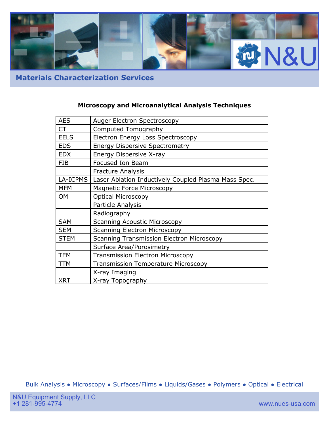

## **Microscopy and Microanalytical Analysis Techniques**

| <b>AES</b>  | Auger Electron Spectroscopy                          |
|-------------|------------------------------------------------------|
| CT          | Computed Tomography                                  |
| <b>EELS</b> | <b>Electron Energy Loss Spectroscopy</b>             |
| <b>EDS</b>  | <b>Energy Dispersive Spectrometry</b>                |
| <b>EDX</b>  | Energy Dispersive X-ray                              |
| <b>FIB</b>  | Focused Ion Beam                                     |
|             | <b>Fracture Analysis</b>                             |
| LA-ICPMS    | Laser Ablation Inductively Coupled Plasma Mass Spec. |
| <b>MFM</b>  | <b>Magnetic Force Microscopy</b>                     |
| OM          | <b>Optical Microscopy</b>                            |
|             | Particle Analysis                                    |
|             | Radiography                                          |
| <b>SAM</b>  | <b>Scanning Acoustic Microscopy</b>                  |
| <b>SEM</b>  | <b>Scanning Electron Microscopy</b>                  |
| <b>STEM</b> | <b>Scanning Transmission Electron Microscopy</b>     |
|             | Surface Area/Porosimetry                             |
| <b>TEM</b>  | <b>Transmission Electron Microscopy</b>              |
| TTM         | <b>Transmission Temperature Microscopy</b>           |
|             | X-ray Imaging                                        |
| <b>XRT</b>  | X-ray Topography                                     |
|             |                                                      |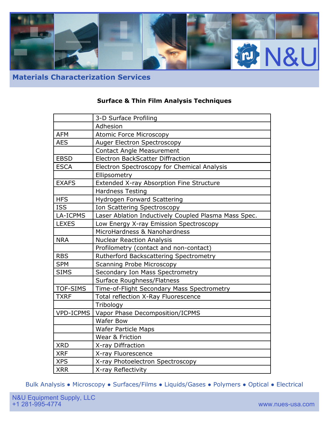

## **Surface & Thin Film Analysis Techniques**

|                  | 3-D Surface Profiling                                |
|------------------|------------------------------------------------------|
|                  | Adhesion                                             |
| <b>AFM</b>       | <b>Atomic Force Microscopy</b>                       |
| <b>AES</b>       | Auger Electron Spectroscopy                          |
|                  | <b>Contact Angle Measurement</b>                     |
| <b>EBSD</b>      | <b>Electron BackScatter Diffraction</b>              |
| <b>ESCA</b>      | Electron Spectroscopy for Chemical Analysis          |
|                  | Ellipsometry                                         |
| <b>EXAFS</b>     | Extended X-ray Absorption Fine Structure             |
|                  | <b>Hardness Testing</b>                              |
| <b>HFS</b>       | Hydrogen Forward Scattering                          |
| <b>ISS</b>       | Ion Scattering Spectroscopy                          |
| LA-ICPMS         | Laser Ablation Inductively Coupled Plasma Mass Spec. |
| <b>LEXES</b>     | Low Energy X-ray Emission Spectroscopy               |
|                  | MicroHardness & Nanohardness                         |
| <b>NRA</b>       | <b>Nuclear Reaction Analysis</b>                     |
|                  | Profilometry (contact and non-contact)               |
| <b>RBS</b>       | Rutherford Backscattering Spectrometry               |
| <b>SPM</b>       | <b>Scanning Probe Microscopy</b>                     |
| <b>SIMS</b>      | Secondary Ion Mass Spectrometry                      |
|                  | Surface Roughness/Flatness                           |
| TOF-SIMS         | Time-of-Flight Secondary Mass Spectrometry           |
| <b>TXRF</b>      | Total reflection X-Ray Fluorescence                  |
|                  | Tribology                                            |
| <b>VPD-ICPMS</b> | Vapor Phase Decomposition/ICPMS                      |
|                  | <b>Wafer Bow</b>                                     |
|                  | <b>Wafer Particle Maps</b>                           |
|                  | Wear & Friction                                      |
| <b>XRD</b>       | X-ray Diffraction                                    |
| <b>XRF</b>       | X-ray Fluorescence                                   |
| <b>XPS</b>       | X-ray Photoelectron Spectroscopy                     |
| <b>XRR</b>       | X-ray Reflectivity                                   |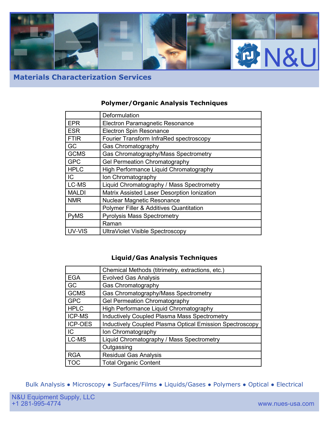

## **Polymer/Organic Analysis Techniques**

|              | Deformulation                               |
|--------------|---------------------------------------------|
| <b>EPR</b>   | Electron Paramagnetic Resonance             |
| <b>ESR</b>   | <b>Electron Spin Resonance</b>              |
| <b>FTIR</b>  | Fourier Transform InfraRed spectroscopy     |
| GC           | <b>Gas Chromatography</b>                   |
| <b>GCMS</b>  | Gas Chromatography/Mass Spectrometry        |
| <b>GPC</b>   | <b>Gel Permeation Chromatography</b>        |
| <b>HPLC</b>  | High Performance Liquid Chromatography      |
| IC.          | Ion Chromatography                          |
| LC-MS        | Liquid Chromatography / Mass Spectrometry   |
| <b>MALDI</b> | Matrix Assisted Laser Desorption Ionization |
| <b>NMR</b>   | <b>Nuclear Magnetic Resonance</b>           |
|              | Polymer Filler & Additives Quantitation     |
| <b>PyMS</b>  | <b>Pyrolysis Mass Spectrometry</b>          |
|              | Raman                                       |
| UV-VIS       | <b>UltraViolet Visible Spectroscopy</b>     |

## **Liquid/Gas Analysis Techniques**

|                | Chemical Methods (titrimetry, extractions, etc.)                |
|----------------|-----------------------------------------------------------------|
| <b>EGA</b>     | <b>Evolved Gas Analysis</b>                                     |
| GC             | Gas Chromatography                                              |
| <b>GCMS</b>    | Gas Chromatography/Mass Spectrometry                            |
| <b>GPC</b>     | <b>Gel Permeation Chromatography</b>                            |
| <b>HPLC</b>    | High Performance Liquid Chromatography                          |
| ICP-MS         | <b>Inductively Coupled Plasma Mass Spectrometry</b>             |
| <b>ICP-OES</b> | <b>Inductively Coupled Plasma Optical Emission Spectroscopy</b> |
| IC             | Ion Chromatography                                              |
| LC-MS          | Liquid Chromatography / Mass Spectrometry                       |
|                | Outgassing                                                      |
| <b>RGA</b>     | <b>Residual Gas Analysis</b>                                    |
| <b>TOC</b>     | <b>Total Organic Content</b>                                    |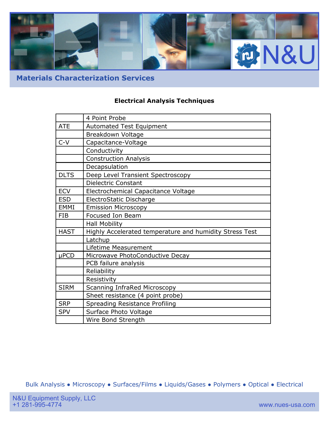

## **Electrical Analysis Techniques**

|             | 4 Point Probe                                           |
|-------------|---------------------------------------------------------|
| <b>ATE</b>  | <b>Automated Test Equipment</b>                         |
|             | Breakdown Voltage                                       |
| $C-V$       | Capacitance-Voltage                                     |
|             | Conductivity                                            |
|             | <b>Construction Analysis</b>                            |
|             | Decapsulation                                           |
| <b>DLTS</b> | Deep Level Transient Spectroscopy                       |
|             | <b>Dielectric Constant</b>                              |
| <b>ECV</b>  | Electrochemical Capacitance Voltage                     |
| <b>ESD</b>  | ElectroStatic Discharge                                 |
| <b>EMMI</b> | <b>Emission Microscopy</b>                              |
| <b>FIB</b>  | Focused Ion Beam                                        |
|             | Hall Mobility                                           |
| <b>HAST</b> | Highly Accelerated temperature and humidity Stress Test |
|             | Latchup                                                 |
|             | Lifetime Measurement                                    |
| $\mu$ PCD   | Microwave PhotoConductive Decay                         |
|             | PCB failure analysis                                    |
|             | Reliability                                             |
|             | Resistivity                                             |
| <b>SIRM</b> | Scanning InfraRed Microscopy                            |
|             | Sheet resistance (4 point probe)                        |
| <b>SRP</b>  | Spreading Resistance Profiling                          |
| <b>SPV</b>  | Surface Photo Voltage                                   |
|             | Wire Bond Strength                                      |